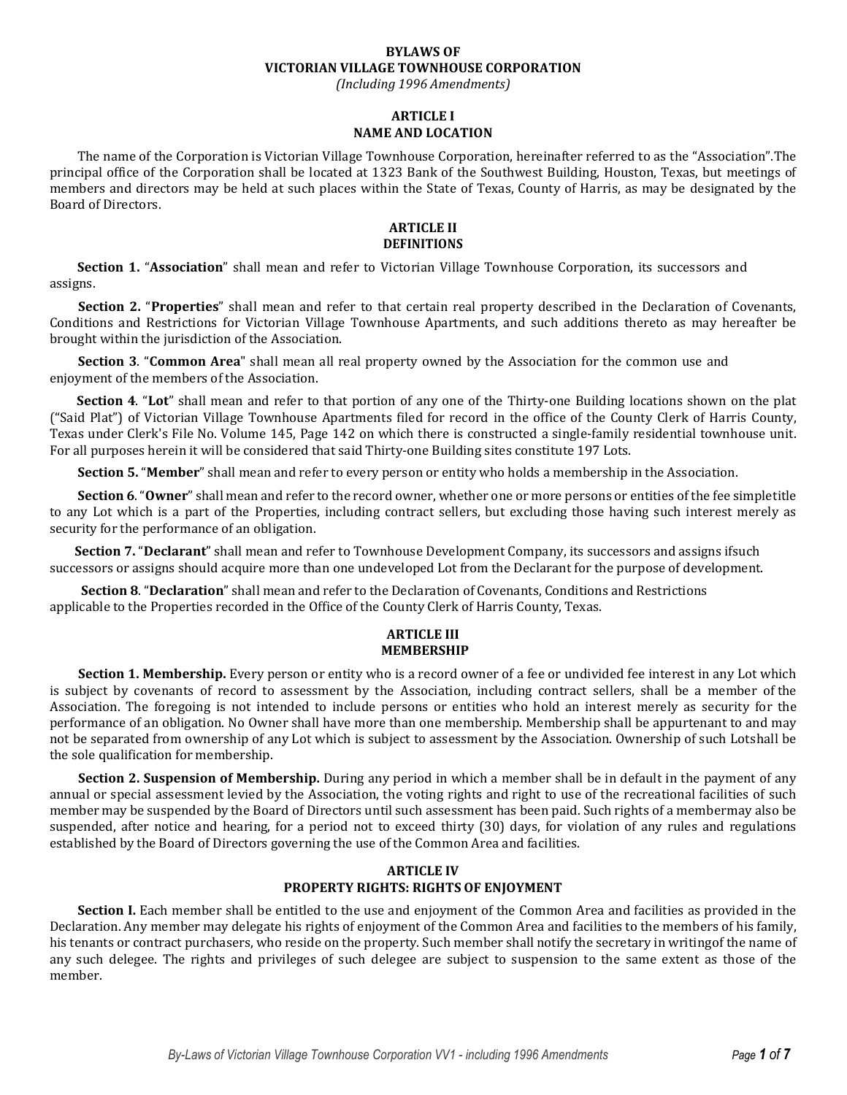# **BYLAWS OF VICTORIAN VILLAGE TOWNHOUSE CORPORATION**

*(Including 1996 Amendments)*

# **ARTICLE I NAME AND LOCATION**

The name of the Corporation is Victorian Village Townhouse Corporation, hereinafter referred to as the "Association".The principal office of the Corporation shall be located at 1323 Bank of the Southwest Building, Houston, Texas, but meetings of members and directors may be held at such places within the State of Texas, County of Harris, as may be designated by the Board of Directors.

#### **ARTICLE II DEFINITIONS**

**Section 1.** "**Association**" shall mean and refer to Victorian Village Townhouse Corporation, its successors and assigns.

**Section 2.** "**Properties**" shall mean and refer to that certain real property described in the Declaration of Covenants, Conditions and Restrictions for Victorian Village Townhouse Apartments, and such additions thereto as may hereafter be brought within the jurisdiction of the Association.

**Section 3**. "**Common Area**" shall mean all real property owned by the Association for the common use and enjoyment of the members of the Association.

**Section 4**. "**Lot**" shall mean and refer to that portion of any one of the Thirty-one Building locations shown on the plat ("Said Plat") of Victorian Village Townhouse Apartments filed for record in the office of the County Clerk of Harris County, Texas under Clerk's File No. Volume 145, Page 142 on which there is constructed a single-family residential townhouse unit. For all purposes herein it will be considered that said Thirty-one Building sites constitute 197 Lots.

**Section 5.** "**Member**" shall mean and refer to every person or entity who holds a membership in the Association.

**Section 6**."**Owner**" shall mean and refer to the record owner, whether one or more persons or entities of the fee simpletitle to any Lot which is a part of the Properties, including contract sellers, but excluding those having such interest merely as security for the performance of an obligation.

**Section 7.** "**Declarant**" shall mean and refer to Townhouse Development Company, its successors and assigns ifsuch successors or assigns should acquire more than one undeveloped Lot from the Declarant for the purpose of development.

**Section 8**. "**Declaration**" shall mean and refer to the Declaration of Covenants, Conditions and Restrictions applicable to the Properties recorded in the Office of the County Clerk of Harris County, Texas.

### **ARTICLE III MEMBERSHIP**

**Section 1. Membership.** Every person or entity who is a record owner of a fee or undivided fee interest in any Lot which is subject by covenants of record to assessment by the Association, including contract sellers, shall be a member of the Association. The foregoing is not intended to include persons or entities who hold an interest merely as security for the performance of an obligation. No Owner shall have more than one membership. Membership shall be appurtenant to and may not be separated from ownership of any Lot which is subject to assessment by the Association. Ownership of such Lotshall be the sole qualification for membership.

**Section 2. Suspension of Membership.** During any period in which a member shall be in default in the payment of any annual or special assessment levied by the Association, the voting rights and right to use of the recreational facilities of such member may be suspended by the Board of Directors until such assessment has been paid. Such rights of a membermay also be suspended, after notice and hearing, for a period not to exceed thirty (30) days, for violation of any rules and regulations established by the Board of Directors governing the use of the Common Area and facilities.

# **ARTICLE IV PROPERTY RIGHTS: RIGHTS OF ENJOYMENT**

**Section I.** Each member shall be entitled to the use and enjoyment of the Common Area and facilities as provided in the Declaration. Any member may delegate his rights of enjoyment of the Common Area and facilities to the members of his family, his tenants or contract purchasers, who reside on the property. Such member shall notify the secretary in writingof the name of any such delegee. The rights and privileges of such delegee are subject to suspension to the same extent as those of the member.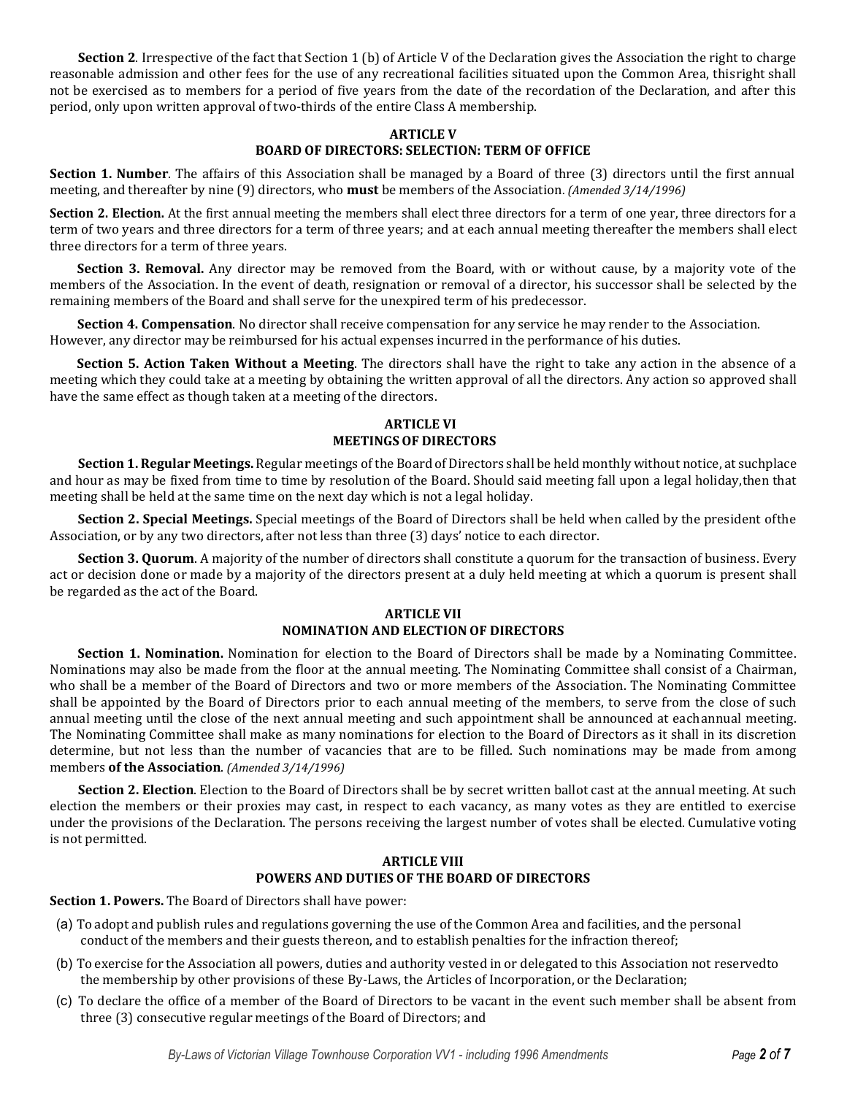**Section 2**. Irrespective of the fact that Section 1 (b) of Article V of the Declaration gives the Association the right to charge reasonable admission and other fees for the use of any recreational facilities situated upon the Common Area, thisright shall not be exercised as to members for a period of five years from the date of the recordation of the Declaration, and after this period, only upon written approval of two-thirds of the entire Class A membership.

### **ARTICLE V**

# **BOARD OF DIRECTORS: SELECTION: TERM OF OFFICE**

**Section 1. Number**. The affairs of this Association shall be managed by a Board of three (3) directors until the first annual meeting, and thereafter by nine (9) directors, who **must** be members of the Association. *(Amended 3/14/1996)*

**Section 2. Election.** At the first annual meeting the members shall elect three directors for a term of one year, three directors for a term of two years and three directors for a term of three years; and at each annual meeting thereafter the members shall elect three directors for a term of three years.

**Section 3. Removal.** Any director may be removed from the Board, with or without cause, by a majority vote of the members of the Association. In the event of death, resignation or removal of a director, his successor shall be selected by the remaining members of the Board and shall serve for the unexpired term of his predecessor.

**Section 4. Compensation**. No director shall receive compensation for any service he may render to the Association. However, any director may be reimbursed for his actual expenses incurred in the performance of his duties.

**Section 5. Action Taken Without a Meeting**. The directors shall have the right to take any action in the absence of a meeting which they could take at a meeting by obtaining the written approval of all the directors. Any action so approved shall have the same effect as though taken at a meeting of the directors.

# **ARTICLE VI MEETINGSOF DIRECTORS**

**Section 1. Regular Meetings.** Regular meetings of the Board of Directors shall be held monthly without notice, at suchplace and hour as may be fixed from time to time by resolution of the Board. Should said meeting fall upon a legal holiday,then that meeting shall be held at the same time on the next day which is not a legal holiday.

**Section 2. Special Meetings.** Special meetings of the Board of Directors shall be held when called by the president ofthe Association, or by any two directors, after not less than three (3) days' notice to each director.

**Section 3. Quorum**. A majority of the number of directors shall constitute a quorum for the transaction of business. Every act or decision done or made by a majority of the directors present at a duly held meeting at which a quorum is present shall be regarded as the act of the Board.

# **ARTICLE VII NOMINATION AND ELECTION OF DIRECTORS**

**Section 1. Nomination.** Nomination for election to the Board of Directors shall be made by a Nominating Committee. Nominations may also be made from the floor at the annual meeting. The Nominating Committee shall consist of a Chairman, who shall be a member of the Board of Directors and two or more members of the Association. The Nominating Committee shall be appointed by the Board of Directors prior to each annual meeting of the members, to serve from the close of such annual meeting until the close of the next annual meeting and such appointment shall be announced at eachannual meeting. The Nominating Committee shall make as many nominations for election to the Board of Directors as it shall in its discretion determine, but not less than the number of vacancies that are to be filled. Such nominations may be made from among members **of the Association**. *(Amended 3/14/1996)*

**Section 2. Election**. Election to the Board of Directors shall be by secret written ballot cast at the annual meeting. At such election the members or their proxies may cast, in respect to each vacancy, as many votes as they are entitled to exercise under the provisions of the Declaration. The persons receiving the largest number of votes shall be elected. Cumulative voting is not permitted.

### **ARTICLE VIII POWERS AND DUTIES OF THE BOARD OF DIRECTORS**

**Section 1. Powers.** The Board of Directors shall have power:

- (a) To adopt and publish rules and regulations governing the use of the Common Area and facilities, and the personal conduct of the members and their guests thereon, and to establish penalties for the infraction thereof;
- (b) To exercise for the Association all powers, duties and authority vested in or delegated to this Association not reservedto the membership by other provisions of these By-Laws, the Articles of Incorporation, or the Declaration;
- (c) To declare the office of a member of the Board of Directors to be vacant in the event such member shall be absent from three (3) consecutive regular meetings of the Board of Directors; and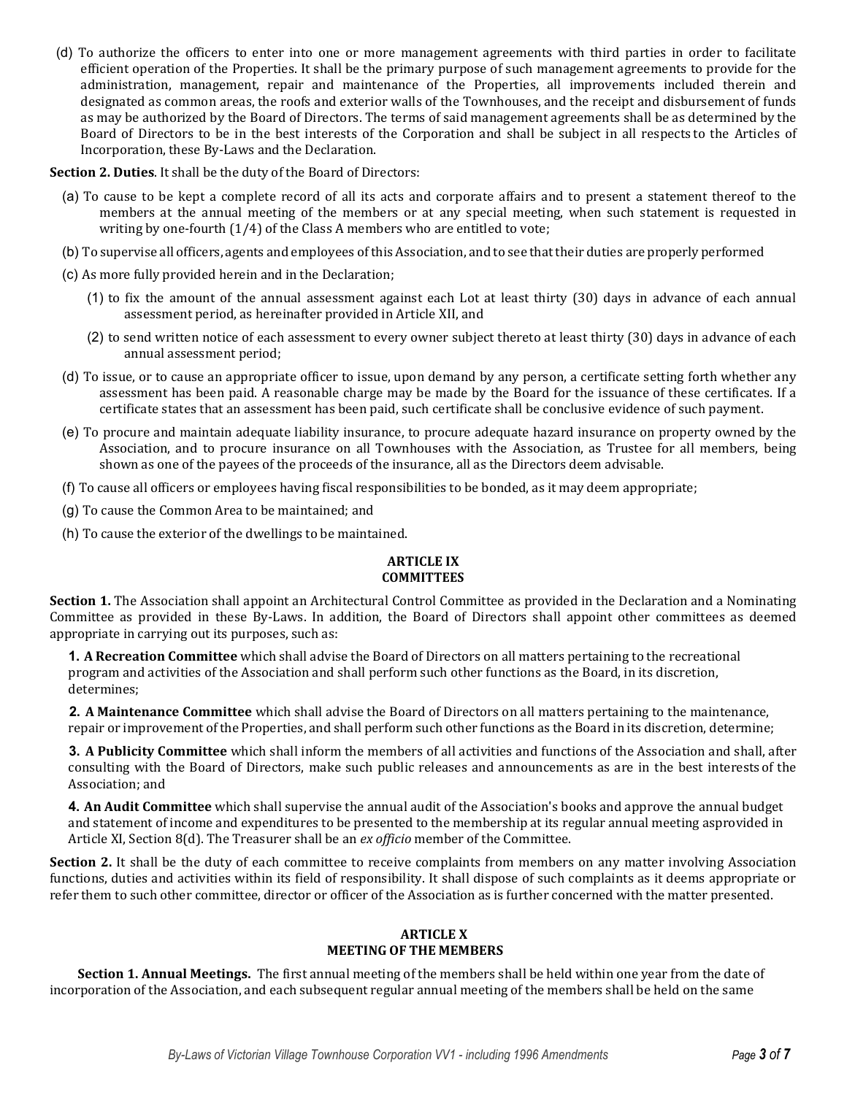(d) To authorize the officers to enter into one or more management agreements with third parties in order to facilitate efficient operation of the Properties. It shall be the primary purpose of such management agreements to provide for the administration, management, repair and maintenance of the Properties, all improvements included therein and designated as common areas, the roofs and exterior walls of the Townhouses, and the receipt and disbursement of funds as may be authorized by the Board of Directors. The terms of said management agreements shall be as determined by the Board of Directors to be in the best interests of the Corporation and shall be subject in all respects to the Articles of Incorporation, these By-Laws and the Declaration.

**Section 2. Duties**. It shall be the duty of the Board of Directors:

- (a) To cause to be kept a complete record of all its acts and corporate affairs and to present a statement thereof to the members at the annual meeting of the members or at any special meeting, when such statement is requested in writing by one-fourth (1/4) of the Class A members who are entitled to vote;
- (b) To supervise all officers, agents and employees of this Association, and to see that their duties are properly performed
- (c) As more fully provided herein and in the Declaration;
	- (1) to fix the amount of the annual assessment against each Lot at least thirty (30) days in advance of each annual assessment period, as hereinafter provided in Article XII, and
	- (2) to send written notice of each assessment to every owner subject thereto at least thirty (30) days in advance of each annual assessment period;
- (d) To issue, or to cause an appropriate officer to issue, upon demand by any person, a certificate setting forth whether any assessment has been paid. A reasonable charge may be made by the Board for the issuance of these certificates. If a certificate states that an assessment has been paid, such certificate shall be conclusive evidence of such payment.
- (e) To procure and maintain adequate liability insurance, to procure adequate hazard insurance on property owned by the Association, and to procure insurance on all Townhouses with the Association, as Trustee for all members, being shown as one of the payees of the proceeds of the insurance, all as the Directors deem advisable.
- (f) To cause all officers or employees having fiscal responsibilities to be bonded, as it may deem appropriate;
- (g) To cause the Common Area to be maintained; and
- (h) To cause the exterior of the dwellings to be maintained.

# **ARTICLE IX COMMITTEES**

**Section 1.** The Association shall appoint an Architectural Control Committee as provided in the Declaration and a Nominating Committee as provided in these By-Laws. In addition, the Board of Directors shall appoint other committees as deemed appropriate in carrying out its purposes, such as:

**1. A Recreation Committee** which shall advise the Board of Directors on all matters pertaining to the recreational program and activities of the Association and shall perform such other functions as the Board, in its discretion, determines;

**2. A Maintenance Committee** which shall advise the Board of Directors on all matters pertaining to the maintenance, repair or improvement of the Properties, and shall perform such other functions as the Board in its discretion, determine;

**3. A Publicity Committee** which shall inform the members of all activities and functions of the Association and shall, after consulting with the Board of Directors, make such public releases and announcements as are in the best interestsof the Association; and

**4. An Audit Committee** which shall supervise the annual audit of the Association's books and approve the annual budget and statement of income and expenditures to be presented to the membership at its regular annual meeting asprovided in Article XI, Section 8(d). The Treasurer shall be an *ex officio* member of the Committee.

**Section 2.** It shall be the duty of each committee to receive complaints from members on any matter involving Association functions, duties and activities within its field of responsibility. It shall dispose of such complaints as it deems appropriate or refer them to such other committee, director or officer of the Association as is further concerned with the matter presented.

### **ARTICLE X MEETING OF THE MEMBERS**

**Section 1. Annual Meetings.** The first annual meeting of the members shall be held within one year from the date of incorporation of the Association, and each subsequent regular annual meeting of the members shall be held on the same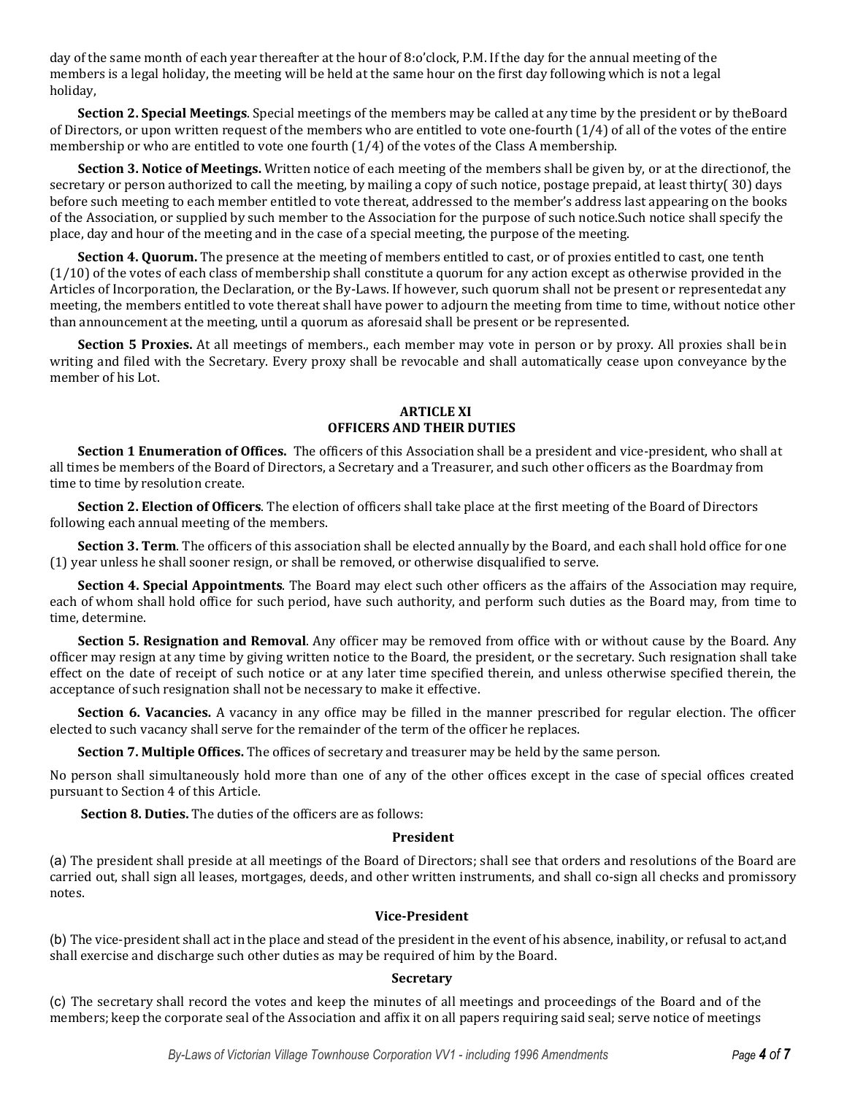day of the same month of each year thereafter at the hour of 8:o'clock, P.M. If the day for the annual meeting of the members is a legal holiday, the meeting will be held at the same hour on the first day following which is not a legal holiday,

**Section 2. Special Meetings**. Special meetings of the members may be called at any time by the president or by theBoard of Directors, or upon written request of the members who are entitled to vote one-fourth (1/4) of all of the votes of the entire membership or who are entitled to vote one fourth (1/4) of the votes of the Class A membership.

**Section 3. Notice of Meetings.** Written notice of each meeting of the members shall be given by, or at the directionof, the secretary or person authorized to call the meeting, by mailing a copy of such notice, postage prepaid, at least thirty( 30) days before such meeting to each member entitled to vote thereat, addressed to the member's address last appearing on the books of the Association, or supplied by such member to the Association for the purpose of such notice.Such notice shall specify the place, day and hour of the meeting and in the case of a special meeting, the purpose of the meeting.

**Section 4. Quorum.** The presence at the meeting of members entitled to cast, or of proxies entitled to cast, one tenth  $(1/10)$  of the votes of each class of membership shall constitute a quorum for any action except as otherwise provided in the Articles of Incorporation, the Declaration, or the By-Laws. If however, such quorum shall not be present or representedat any meeting, the members entitled to vote thereat shall have power to adjourn the meeting from time to time, without notice other than announcement at the meeting, until a quorum as aforesaid shall be present or be represented.

**Section 5 Proxies.** At all meetings of members., each member may vote in person or by proxy. All proxies shall bein writing and filed with the Secretary. Every proxy shall be revocable and shall automatically cease upon conveyance bythe member of his Lot.

# **ARTICLE XI OFFICERS AND THEIR DUTIES**

**Section 1 Enumeration of Offices.** The officers of this Association shall be a president and vice-president, who shall at all times be members of the Board of Directors, a Secretary and a Treasurer, and such other officers as the Boardmay from time to time by resolution create.

**Section 2. Election of Officers**. The election of officers shall take place at the first meeting of the Board of Directors following each annual meeting of the members.

**Section 3. Term**. The officers of this association shall be elected annually by the Board, and each shall hold office for one (1) year unless he shall sooner resign, or shall be removed, or otherwise disqualified to serve.

**Section 4. Special Appointments**. The Board may elect such other officers as the affairs of the Association may require, each of whom shall hold office for such period, have such authority, and perform such duties as the Board may, from time to time, determine.

**Section 5. Resignation and Removal**. Any officer may be removed from office with or without cause by the Board. Any officer may resign at any time by giving written notice to the Board, the president, or the secretary. Such resignation shall take effect on the date of receipt of such notice or at any later time specified therein, and unless otherwise specified therein, the acceptance of such resignation shall not be necessary to make it effective.

**Section 6. Vacancies.** A vacancy in any office may be filled in the manner prescribed for regular election. The officer elected to such vacancy shall serve for the remainder of the term of the officer he replaces.

**Section 7. Multiple Offices.** The offices of secretary and treasurer may be held by the same person.

No person shall simultaneously hold more than one of any of the other offices except in the case of special offices created pursuant to Section 4 of this Article.

**Section 8. Duties.** The duties of the officers are as follows:

#### **President**

(a) The president shall preside at all meetings of the Board of Directors; shall see that orders and resolutions of the Board are carried out, shall sign all leases, mortgages, deeds, and other written instruments, and shall co-sign all checks and promissory notes.

# **Vice-President**

(b) The vice-president shall act in the place and stead of the president in the event of his absence, inability, or refusal to act,and shall exercise and discharge such other duties as may be required of him by the Board.

#### **Secretary**

(c) The secretary shall record the votes and keep the minutes of all meetings and proceedings of the Board and of the members; keep the corporate seal of the Association and affix it on all papers requiring said seal; serve notice of meetings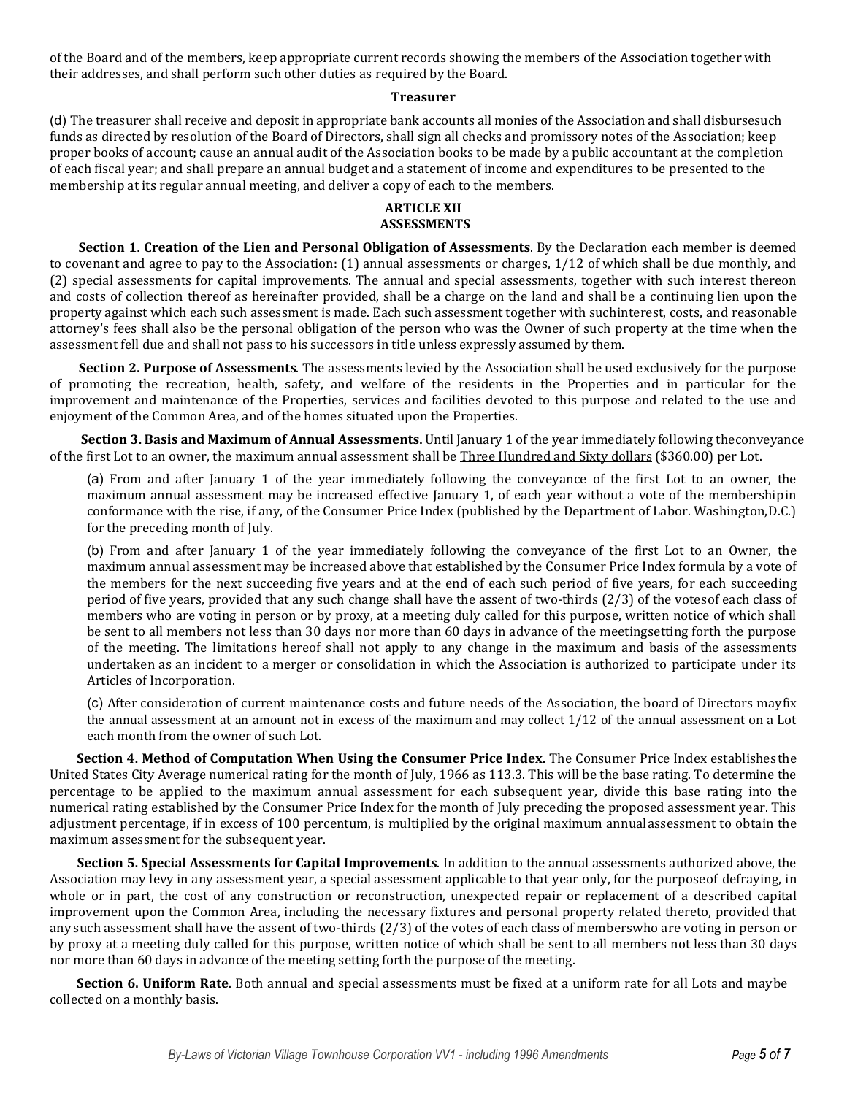of the Board and of the members, keep appropriate current records showing the members of the Association together with their addresses, and shall perform such other duties as required by the Board.

# **Treasurer**

(d) The treasurer shall receive and deposit in appropriate bank accounts all monies of the Association and shall disbursesuch funds as directed by resolution of the Board of Directors, shall sign all checks and promissory notes of the Association; keep proper books of account; cause an annual audit of the Association books to be made by a public accountant at the completion of each fiscal year; and shall prepare an annual budget and a statement of income and expenditures to be presented to the membership at its regular annual meeting, and deliver a copy of each to the members.

# **ARTICLE XII ASSESSMENTS**

**Section 1. Creation of the Lien and Personal Obligation of Assessments**. By the Declaration each member is deemed to covenant and agree to pay to the Association: (1) annual assessments or charges, 1/12 of which shall be due monthly, and (2) special assessments for capital improvements. The annual and special assessments, together with such interest thereon and costs of collection thereof as hereinafter provided, shall be a charge on the land and shall be a continuing lien upon the property against which each such assessment is made. Each such assessment together with suchinterest, costs, and reasonable attorney's fees shall also be the personal obligation of the person who was the Owner of such property at the time when the assessment fell due and shall not pass to his successors in title unless expressly assumed by them.

**Section 2. Purpose of Assessments**. The assessments levied by the Association shall be used exclusively for the purpose of promoting the recreation, health, safety, and welfare of the residents in the Properties and in particular for the improvement and maintenance of the Properties, services and facilities devoted to this purpose and related to the use and enjoyment of the Common Area, and of the homes situated upon the Properties.

**Section 3. Basis and Maximum of Annual Assessments.** Until January 1 of the year immediately following theconveyance of the first Lot to an owner, the maximum annual assessment shall be Three Hundred and Sixty dollars (\$360.00) per Lot.

(a) From and after January 1 of the year immediately following the conveyance of the first Lot to an owner, the maximum annual assessment may be increased effective January 1, of each year without a vote of the membershipin conformance with the rise, if any, of the Consumer Price Index (published by the Department of Labor. Washington,D.C.) for the preceding month of July.

(b) From and after January 1 of the year immediately following the conveyance of the first Lot to an Owner, the maximum annual assessment may be increased above that established by the Consumer Price Index formula by a vote of the members for the next succeeding five years and at the end of each such period of five years, for each succeeding period of five years, provided that any such change shall have the assent of two-thirds (2/3) of the votesof each class of members who are voting in person or by proxy, at a meeting duly called for this purpose, written notice of which shall be sent to all members not less than 30 days nor more than 60 days in advance of the meetingsetting forth the purpose of the meeting. The limitations hereof shall not apply to any change in the maximum and basis of the assessments undertaken as an incident to a merger or consolidation in which the Association is authorized to participate under its Articles of Incorporation.

(c) After consideration of current maintenance costs and future needs of the Association, the board of Directors mayfix the annual assessment at an amount not in excess of the maximum and may collect 1/12 of the annual assessment on a Lot each month from the owner of such Lot.

**Section 4. Method of Computation When Using the Consumer Price Index.** The Consumer Price Index establishesthe United States City Average numerical rating for the month of July, 1966 as 113.3. This will be the base rating. To determine the percentage to be applied to the maximum annual assessment for each subsequent year, divide this base rating into the numerical rating established by the Consumer Price Index for the month of July preceding the proposed assessment year. This adjustment percentage, if in excess of 100 percentum, is multiplied by the original maximum annualassessment to obtain the maximum assessment for the subsequent year.

**Section 5. Special Assessments for Capital Improvements**. In addition to the annual assessments authorized above, the Association may levy in any assessment year, a special assessment applicable to that year only, for the purposeof defraying, in whole or in part, the cost of any construction or reconstruction, unexpected repair or replacement of a described capital improvement upon the Common Area, including the necessary fixtures and personal property related thereto, provided that any such assessment shall have the assent of two-thirds (2/3) of the votes of each class of memberswho are voting in person or by proxy at a meeting duly called for this purpose, written notice of which shall be sent to all members not less than 30 days nor more than 60 days in advance of the meeting setting forth the purpose of the meeting.

**Section 6. Uniform Rate**. Both annual and special assessments must be fixed at a uniform rate for all Lots and maybe collected on a monthly basis.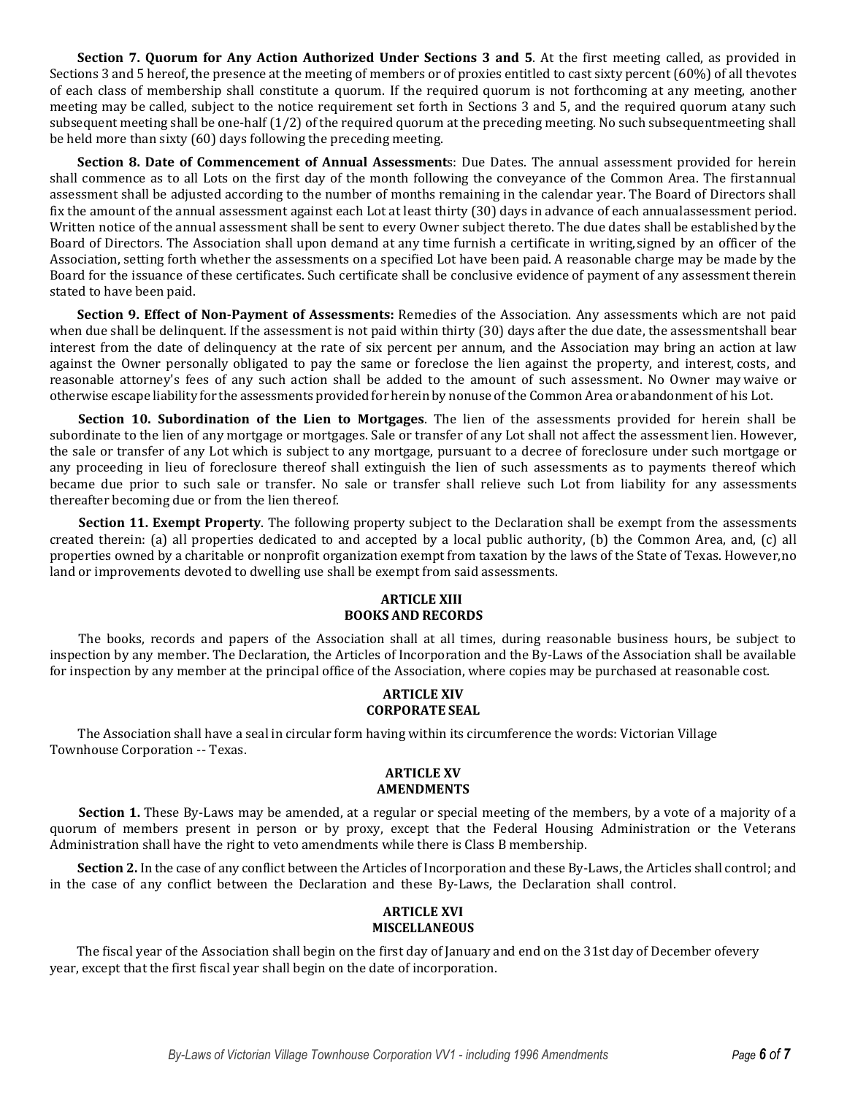**Section 7. Quorum for Any Action Authorized Under Sections 3 and 5**. At the first meeting called, as provided in Sections 3 and 5 hereof, the presence at the meeting of members or of proxies entitled to cast sixty percent (60%) of all thevotes of each class of membership shall constitute a quorum. If the required quorum is not forthcoming at any meeting, another meeting may be called, subject to the notice requirement set forth in Sections 3 and 5, and the required quorum atany such subsequent meeting shall be one-half (1/2) of the required quorum at the preceding meeting. No such subsequentmeeting shall be held more than sixty (60) days following the preceding meeting.

**Section 8. Date of Commencement of Annual Assessment**s: Due Dates. The annual assessment provided for herein shall commence as to all Lots on the first day of the month following the conveyance of the Common Area. The firstannual assessment shall be adjusted according to the number of months remaining in the calendar year. The Board of Directors shall fix the amount of the annual assessment against each Lot at least thirty (30) days in advance of each annualassessment period. Written notice of the annual assessment shall be sent to every Owner subject thereto. The due dates shall be established by the Board of Directors. The Association shall upon demand at any time furnish a certificate in writing,signed by an officer of the Association, setting forth whether the assessments on a specified Lot have been paid. A reasonable charge may be made by the Board for the issuance of these certificates. Such certificate shall be conclusive evidence of payment of any assessment therein stated to have been paid.

**Section 9. Effect of Non-Payment of Assessments:** Remedies of the Association. Any assessments which are not paid when due shall be delinquent. If the assessment is not paid within thirty (30) days after the due date, the assessmentshall bear interest from the date of delinquency at the rate of six percent per annum, and the Association may bring an action at law against the Owner personally obligated to pay the same or foreclose the lien against the property, and interest, costs, and reasonable attorney's fees of any such action shall be added to the amount of such assessment. No Owner may waive or otherwise escape liability for the assessments provided for herein by nonuse of the Common Area or abandonment of his Lot.

**Section 10. Subordination of the Lien to Mortgages**. The lien of the assessments provided for herein shall be subordinate to the lien of any mortgage or mortgages. Sale or transfer of any Lot shall not affect the assessment lien. However, the sale or transfer of any Lot which is subject to any mortgage, pursuant to a decree of foreclosure under such mortgage or any proceeding in lieu of foreclosure thereof shall extinguish the lien of such assessments as to payments thereof which became due prior to such sale or transfer. No sale or transfer shall relieve such Lot from liability for any assessments thereafter becoming due or from the lien thereof.

**Section 11. Exempt Property**. The following property subject to the Declaration shall be exempt from the assessments created therein: (a) all properties dedicated to and accepted by a local public authority, (b) the Common Area, and, (c) all properties owned by a charitable or nonprofit organization exempt from taxation by the laws of the State of Texas. However,no land or improvements devoted to dwelling use shall be exempt from said assessments.

# **ARTICLE XIII BOOKS AND RECORDS**

The books, records and papers of the Association shall at all times, during reasonable business hours, be subject to inspection by any member. The Declaration, the Articles of Incorporation and the By-Laws of the Association shall be available for inspection by any member at the principal office of the Association, where copies may be purchased at reasonable cost.

# **ARTICLE XIV CORPORATE SEAL**

The Association shall have a seal in circular form having within its circumference the words: Victorian Village Townhouse Corporation -- Texas.

#### **ARTICLE XV AMENDMENTS**

**Section 1.** These By-Laws may be amended, at a regular or special meeting of the members, by a vote of a majority of a quorum of members present in person or by proxy, except that the Federal Housing Administration or the Veterans Administration shall have the right to veto amendments while there is Class B membership.

**Section 2.** In the case of any conflict between the Articles of Incorporation and these By-Laws, the Articles shall control; and in the case of any conflict between the Declaration and these By-Laws, the Declaration shall control.

# **ARTICLE XVI MISCELLANEOUS**

The fiscal year of the Association shall begin on the first day of January and end on the 31st day of December ofevery year, except that the first fiscal year shall begin on the date of incorporation.